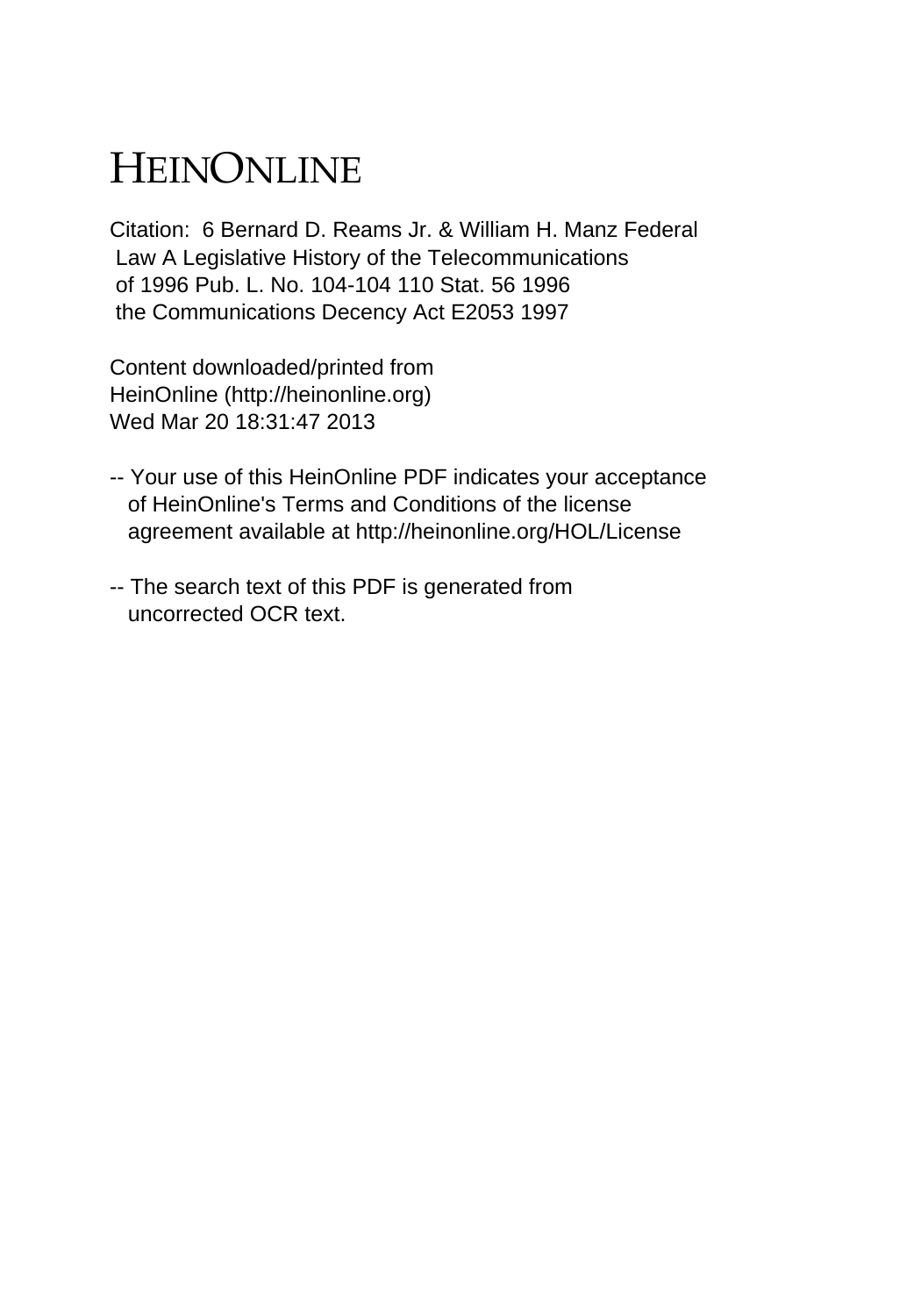# HEINONLINE

Citation: 6 Bernard D. Reams Jr. & William H. Manz Federal Law A Legislative History of the Telecommunications of 1996 Pub. L. No. 104-104 110 Stat. 56 1996 the Communications Decency Act E2053 1997

Content downloaded/printed from HeinOnline (http://heinonline.org) Wed Mar 20 18:31:47 2013

- -- Your use of this HeinOnline PDF indicates your acceptance of HeinOnline's Terms and Conditions of the license agreement available at http://heinonline.org/HOL/License
- -- The search text of this PDF is generated from uncorrected OCR text.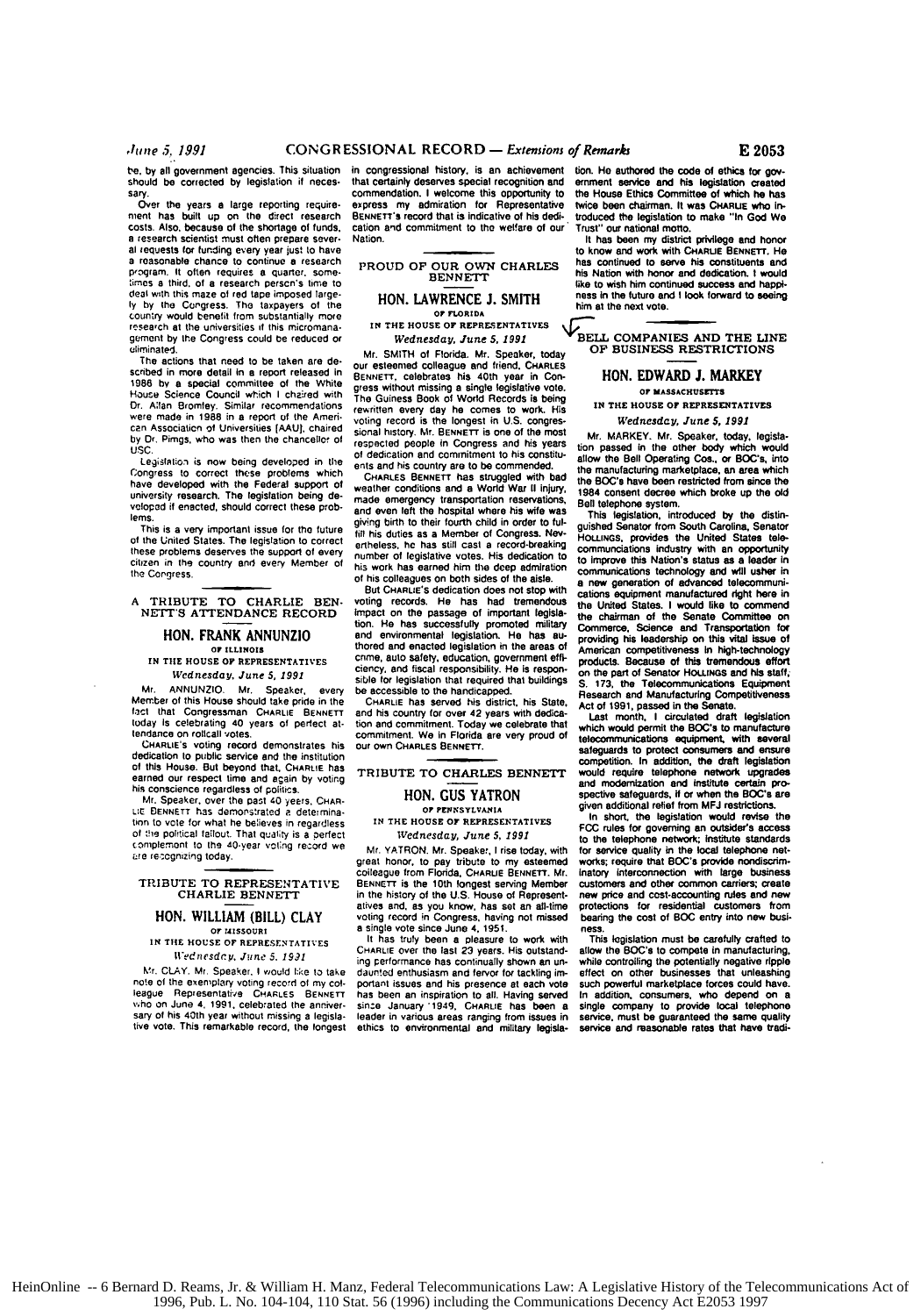**be. by alt** government agencies. This situation should be corrected **by** legislation **if** necessary.

Over the years **a** large reporting require- ment has built up on the direct research costs. Also, because of the shortage **of** funds. a research scientist must often prepare sever al requests for funding every year just **to** have **<sup>a</sup>**reasonable chance to continue a research pzrgram. It often requires a quarter, some, times **a** third. **of a** research perscn's time to deal with this maze **of** red tape imposed large- **ly by** the Congress. The taxpayers **of** the country would **benefit** from substantially more research at the universities it this micromana. gement **by** the Congress could be reduced or

eliminated.<br>The actions that need to be taken are described in more detail in a report released in 1986 by a special committee of the White 1986 by a special committee of the White<br>House Science Council which I chaired with<br>Dr. Allan Bromley. Similar recommendations<br>were made in 1988 in a report of the American Association of Universities **[AAUj,** chaired **by Dr.** Pimgs, who was then the chancellor **of USC.**

Legislation is now being developed in the Congress **to correct** these problems which have developed with the Federal support of university research. The legislation being **de-** volopd **if** enacted, should correct these prob lems.

This is a very important issue **for** the future **of** the United States. The legislation to correct these problems deserves the support **of** every citizen in the country end every Member **of** the Congress.

<sup>A</sup>TRIBUTE TO CHARLIE BEN- **NETT'S ATTENDANCE** RECORD

### **HON.** FRANK **ANNUNZIO OF** ILLINOIS

rN **THIE HOUSE OF** REPRESENTATIVES Wednesday, June *5, 1991*

ANNUNZIO. Mr. Speaker, Member **of** this House should take pride in the factive of the Congressman CHARLIE **BENNETT** and his country for over 42 years with dedica-<br>localy is celebrating 40 years of perfect at the and commitment. Today we celebrate that<br>lendance on rollcall votes. today is celebrating 40 years of perfect at-<br>tendance on rollcall votes.

tendance on rollcall votes.<br>CHARLIE's voting record demonstrates his<br>dedication to public service and the institution of this House. **But** beyond that. CHARLIE has earned **our** respect time and sain **by** voting his conscience regardless of politics.

Mr. Speaker, over the past 40 yeers, CHAR-<br>LIE BENNETT has demonstrated a determina-<br>tion to vote for what he believes in regardless tion to vote **for** what he believes in regardless **of the** political failout That **qualty** is a oerfect cinrplemont **to** the **40-year** voting record we Life recognizing today.

### TRIBUTE TO REPRESENTATIVE CHARLIE BENNETT

## **HON.** WILLIAM (BILL) CLAY

**OF AISSOURI<br>IN THE HOUSE OF REPRESENTATIVES** *t'ed* risdry. *June* **5.** *191*

Mr. CLAY. Mr. Speaker. **I** would hio to take **v,ho** on June **4. 1991.** celebrated the anniversary of **his** 40th year without missing a legisla- **tive** vote. This remarkable record, the longest

in congressional history, is an achievement lion. He authored the code of ethics for gov-<br>that certainly deserves special recognition and ernment service and his legislation created<br>commendation. I welcome this opportunity express my admiration for Representative twice been chairman. It was CHARUE who in-<br>BENNETT's record that is indicative of his dedi- troduced the legislation to make "In God We BENNETT's record that is indicative of his dedi-<br>troduced the legislation to<br>cation and commitment to the welfare of our Trust" our national motto.

## **HON. LAWRENCE J. SMITH** ness in the future and **I I I I I I I I I I I I I I I I** him at the next vote.

**IN THE HOUSE OF REPRESENTATIVES**<br>*Wednesday, June 5, 1991* 

our esteemed colleague and friend. CHARLES<br>BENNETT, celebrates his 40th year in Con- **HON. EDWARD J. MARKEY**<br>gress without missing a single legislative vote. or **MASSACHUSETTS** The Guiness **Book of** World Records is being rewritten every day he comes to work. His **IN** THE **HOUSE** OF REPRESENTATIVES voting record is the longest in U.S. congres-the wednesday, June 5, 1991<br>Sional history. Mr. Berwern is one of the most the MARKEY. Mr. Speaker, today, legisla<br>respected people in Congress and his years then nessed in the

and even left the hospital where his wife was<br>
This legislation, introduced by the distingiving thit to their fourth child in order to thu-<br>
guished Senator from South Caroline and the United States tele-<br>
ertheless, he ha his work has earned him the deep admiration communications technology and will usher in<br>of his colleagues on both sides of the aisle.

But CHARLIE'S dedication does not stop with **cabons** equipment manufactured right here in voting records. He has had tremendous the United States. **I** would like to commend Impact on the passage of important legisla-<br>Impact on the Senate Committee on the Senate Committee on the Senate Committee on tion. He has successfully promoted military commerce, Science and Transportation for<br>and environmental legislation. He has au- providing his leadership on this wital issue of<br>thored and enacted legislation in the areas of

IN THE HOUSE OF REPRESENTATIVES

SCRIPTION TO THE SCRIPTION CHARLE BEINFETT. Mr. Inatory interconnection with large business<br>BENNETT is the 10th longest serving Member customers and other common carriers; create<br>in the history of the U.S. House of Represe atives and, as you know, has set an all-time voting record in Congress, having not missed a single vote since lune  $\frac{1}{4}$  1951

nore of the exemplary voting record of my col-<br>nore contains presence at each vote<br>who on June 4, 1991, celebrated the anniver- since January 1949, CHARLIE has been a<br>who on June 4, 1991, celebrated the anniver- since Janu daunted enthusiasm and fervor for tackling **in-** effect on other businesses that unleashing

cation and commitment to the welfare of our Trust" our national motto.<br>It has been my district privilege and honor<br>Co know and work with CHARUE BENNETT. He PROUD OF OUR OWN CHARLES has continued to **serve his constituents** and His Nation with honor and dedication. **I** house like to wish him continued success and happiness in the future and I look forward to seeing

## *Wednesday, June* **5,** *1991* BL **COMPANIES AND** THE **LINE** Mr. SMITH **of** Florida. Mr. Speaker, today OF **BUSINESS** RESTRICTIONS

respected people in Congress and his years<br>the the passed in the other body which would<br>ents and commitment to his constitue allow the Bell Operating Cos., or BOC's, into<br>ents and his country are to be commended. the manuf

of his colleagues on both sides of the aisle, a **new** generation of advanced telecommunicrime, auto safety, education, government effi-<br>products. Because of this tremendous effort<br>sible for legislation that required that buildings  $S$ , 173, the Telescore MoLimans and his staff,<br>sible for legislation that req

commitment. We in Florida are very proud **of** telecommunications equipment, with several **our** own CHARLES BENNETT. safeguards to protect consumers and ensure competition. **In** addition, **the** draft legislation TRIBUTE TO CHARLES **BENNETT** would require telephone network upgrades and modernization **and institute** certain pro-**HOUS YATRON** spective safeguards, if or when the BOC's are<br>or PENSSYLVANIA given additional relief from MFJ restrictions.

given additional relief from MFJ restrictions.<br>In short, the legislation would revise the *Wednesday,* **FCC** rules for governing **an outsider's** access *June* **5, 1991** to the telephone network; Institute standards **Mr.** YATRON. **Mr.** Speaker, **I** rise today, with for service quality in the local telephone net-

a single vote since June 4, 1951.<br>It has truly been a pleasure to work with a Tritis legislation must be carefully crafted to<br>CHARLIE over the last 23 years. His outstand- allow the BOC's to compete in manufacturing.<br>ing p such powerful marketplace forces could have.<br>In addition, consumers, who depend on a<br>single company to provide local telephone leader in various areas ranging from issues in service, must be guaranteed the same quality<br>ethics to environmental and military legisla- service and reasonable rates that have tradi-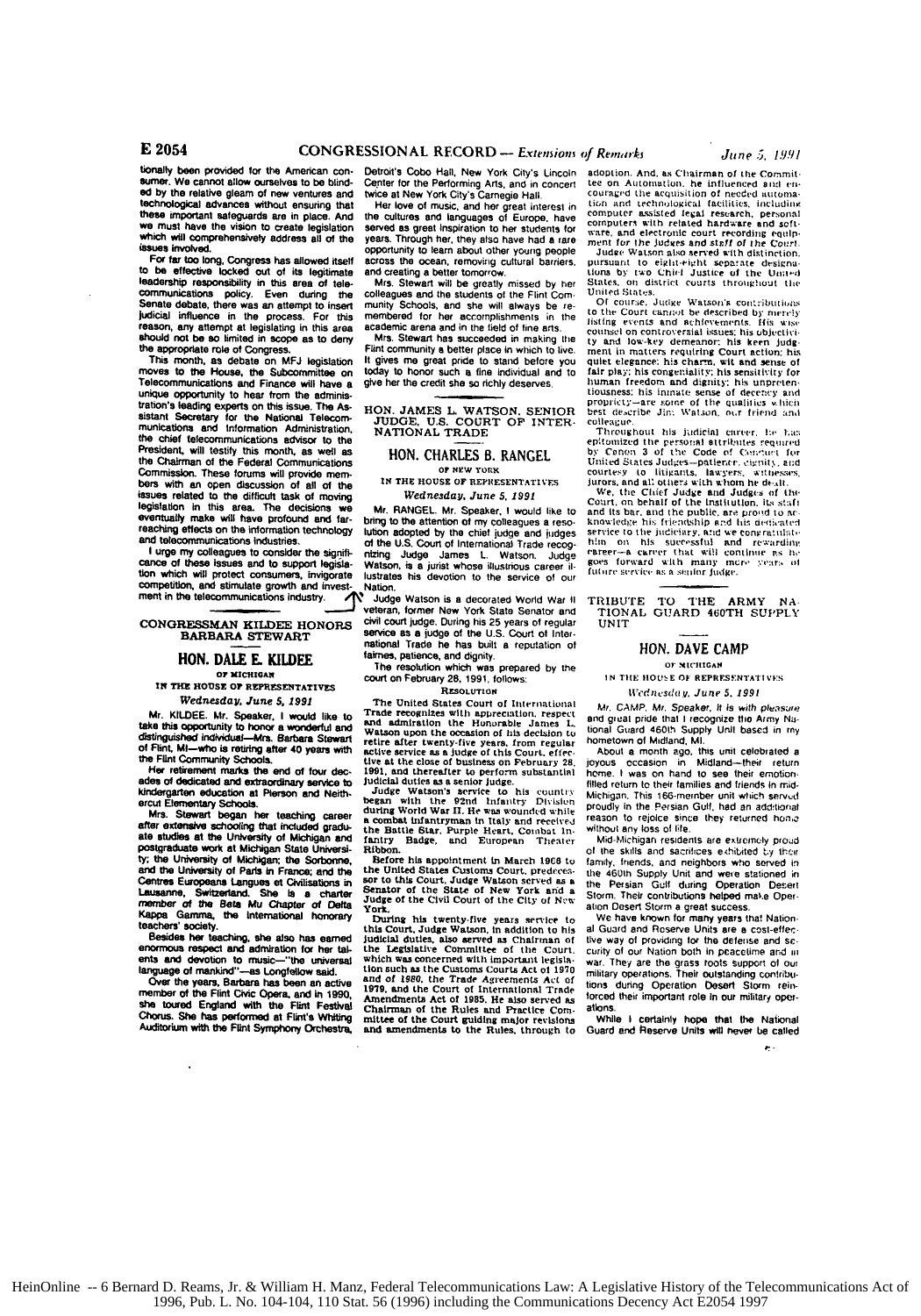tionally been provided for the American con- Detroit's Cobo Hall, New York City's Lincoin<br>sol by the relative gleam of new verstives to be bind-<br>Center for the Performing Arts, and in concert<br>do by the relative gleam of ne

Grading experts on this issue. The As-<br>training L. WATSON, SENIOR<br>sistant Secretary for the National Telecom-<br>distant Secretary for the National Telecom-<br>multications and information Administration, NATIONAL TRADE<br>the Chie Commission. These forums will provide **mern- OF Nw** YoRR

ercui Elementary Schools.<br>
Mrs. Stewart began her teaching world War II. He was wounded while proudly in the Persian Gulf, had an addctional<br>
Mrs. Stewart began her teaching career a combat infantryman in Italy and receive

Chorus. **She has** perfornd at Flint's Whiting mittee of the Court guiding major revisions Auditoriuim with the Flint Symphony **Orchestra,** and amendments to the Rules, through to

bers with an open discussion of all of the<br>issues related to the third its K of moring of the state of the deficial task of moring<br>is legislation in this area. The decisions we Mr. RANGEL Mr. Speaker, I would like to<br>event

**CONGRESSMAN** KILDEE HONORS **civil** court judge, During his **25** years of regular national Trade he has built a reputation of fairnes, patience, and dignity.

**HON. DALE E. KILDEE** fairnes, patience, and dignity.<br> **CON AICHIGAN** The resolution which was prepared by the<br> **IN THE HOUSE OF REFRESENTATIVES** court on February 28, 1991, follows:<br>
RESOLUTION

Wednesday, June 5, 1991<br>
Mr. Killbee, Mr. Speaker, I would like to Trade recognizes with approximation respect<br>
MK: KILDEE. Mr. Speaker, I would like to Trade recognizes with approximation the Honorable James L.<br>
distingui

Kappa Gamma, the international honorary<br>
Charlog his twenty-five years service to<br>
techers' society.<br>
techniq, she also has earned judicial duties, also acreed as Chairman of<br>
elexides her teaching, she also has earned ju endinguage of manifestation of merical which was concerned with important the state and devotion to music—"the universal which was concerned with important the state of menkind"—as Longleidow said. Usin such as the Customs adoption. And, as Chairman of the Commit-<br>decontrol of the influenced and enter-<br>couraged the acquisition of needed attention<br>and rechnological facilities, including<br>computer assisted legal research, personal<br>computers wit

**Judie** Watson also served with distinction. puirsuant to eiheight aepauate **designa-tlions by** two Chil **I** Justice **.1** the **Unti.'** States. **ol** district courts throlghout **tin(**

United Sintes. The Watson's completed in<br>the counter of the County of the Counter of the Court cannot be described by merely<br>to the Court cannot be described by merely<br>counsel on controversial issues; his objective-<br>round quiet elegance h!s chrsm, wit and **sense of** fair play:, his congetiality; his sensitivity for human freedom and dignity: his unpretentiousness: his inmate sense of decency and<br>propricty—are some of the qualifies which<br>best describe Jim. Watson, our friend and, **culleaecue.**

Tlroughout **his** Jidicial cnrrer. **I:,- Ii;:** epitomized the personal attributes required<br>by Conon 3 of the Code of Conduct for<br>United States Judges--patiener, cignity, and

courtesy to litigants. lawyers. wittlesses.<br>Jurors.and all others with whom he dealt.<br>We. the Chief Judge and Judges of the<br>Court, on behalf of the Institution. Its staft **and its bar. and the public, are proud to ac.**<br>knowledge his friendship and his dedicated<br>service to the judiciary, and we congratulate him on his successful and rewarding<br>career--a carter that will continue as he<br>**goes forward with many rore** gears of<br>future-service-as-a-sanior-fudge.

**TRIBUTE TO THE ARMY NA<br>TIONAL GUARD 460TH SUPPLY<br>UNIT** 

### **HON. DAVE** CAMP

**O wI('tIGA**

**IN THE HOUSE OF REPRESENTATIVES**  $We chose day, June 5, 1991$ 

Mr. CAMP. Mr. Speaker, **Il** Is with **plieasure** and giaal pride that **I** recognize the Army **Na-**tional Guard **<sup>4</sup> 60<sup>1</sup> i <sup>1</sup>**Supply Unit based in ivy

hometown of Midland, **Mi.** About **a** month ago, this unit celebrated a joyous occasion **in** Midland-their return home. **I** was on hand to **see** their emotion. filled return to their families and friends In mid- **Michigan.** This 166-member unit which serviu proudly in the Persian Gulf, had an additional without any loss **of life.**

Mid-Michigan residents are extremely proud of the skills and sacrilces enhitded Ly litir family. friends. and neighbors who served **in** the 460th Supply Unit and were stationed in the Persian Gulf during Operation Desert<br>Storm. Their contributions helped make Operation Desert Storm a great success.<br>We have known for many years that Nation-

al Guard and Roserve Units are a cost-effec-<br>tive way of providing for the defense and sclive way of providing **for the** defenise and **sc** curity of our Nation both in peacetime and **il** war. They are the grass roots Support of ou military operations. Their outstanding **contribu-** tions during Operation Desert Storm **rein**forced their important rote In our military oper ations.

While I certainly hope that **the** National Guard and Rleserve Units will never **be** called

×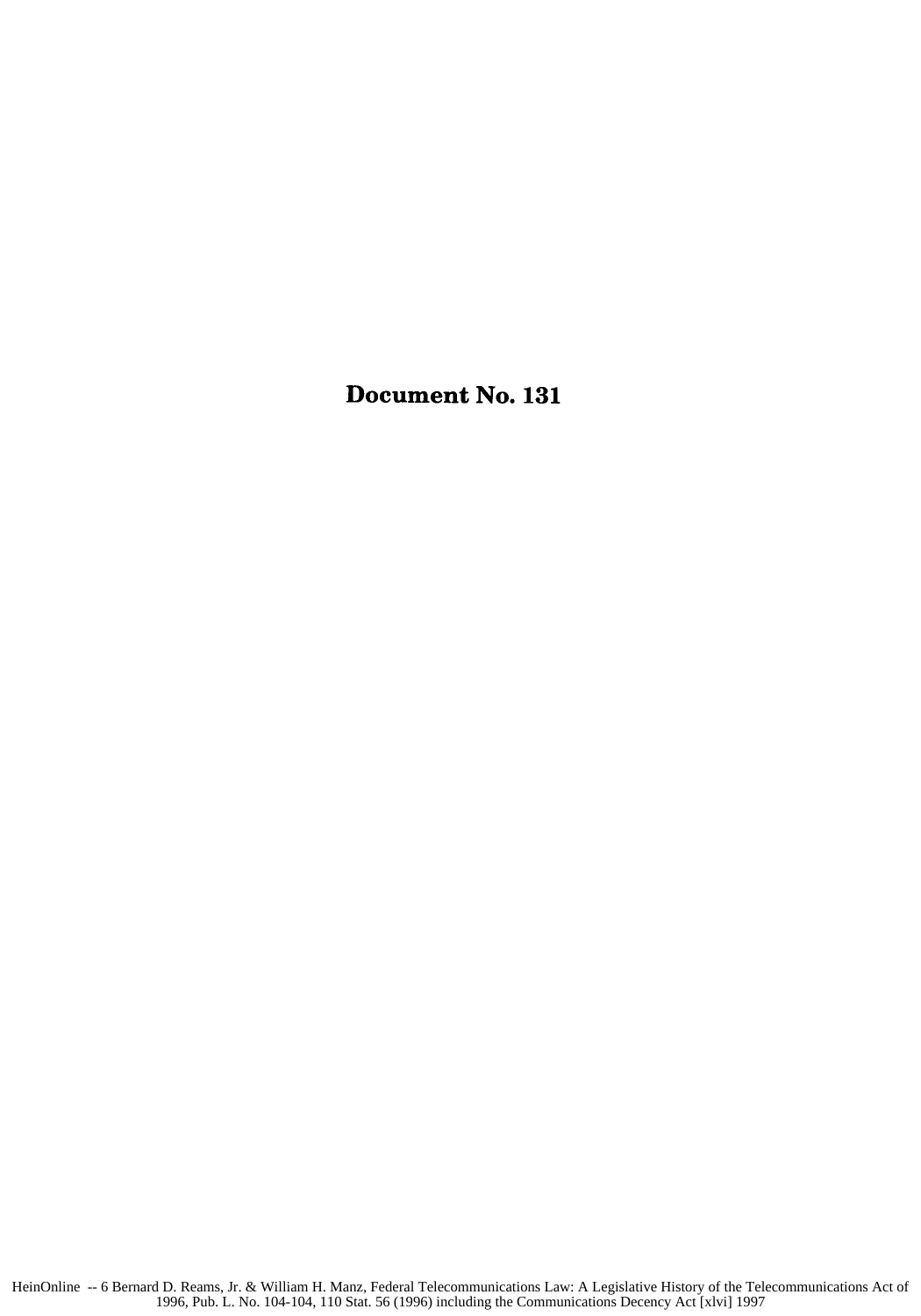Document No. **131**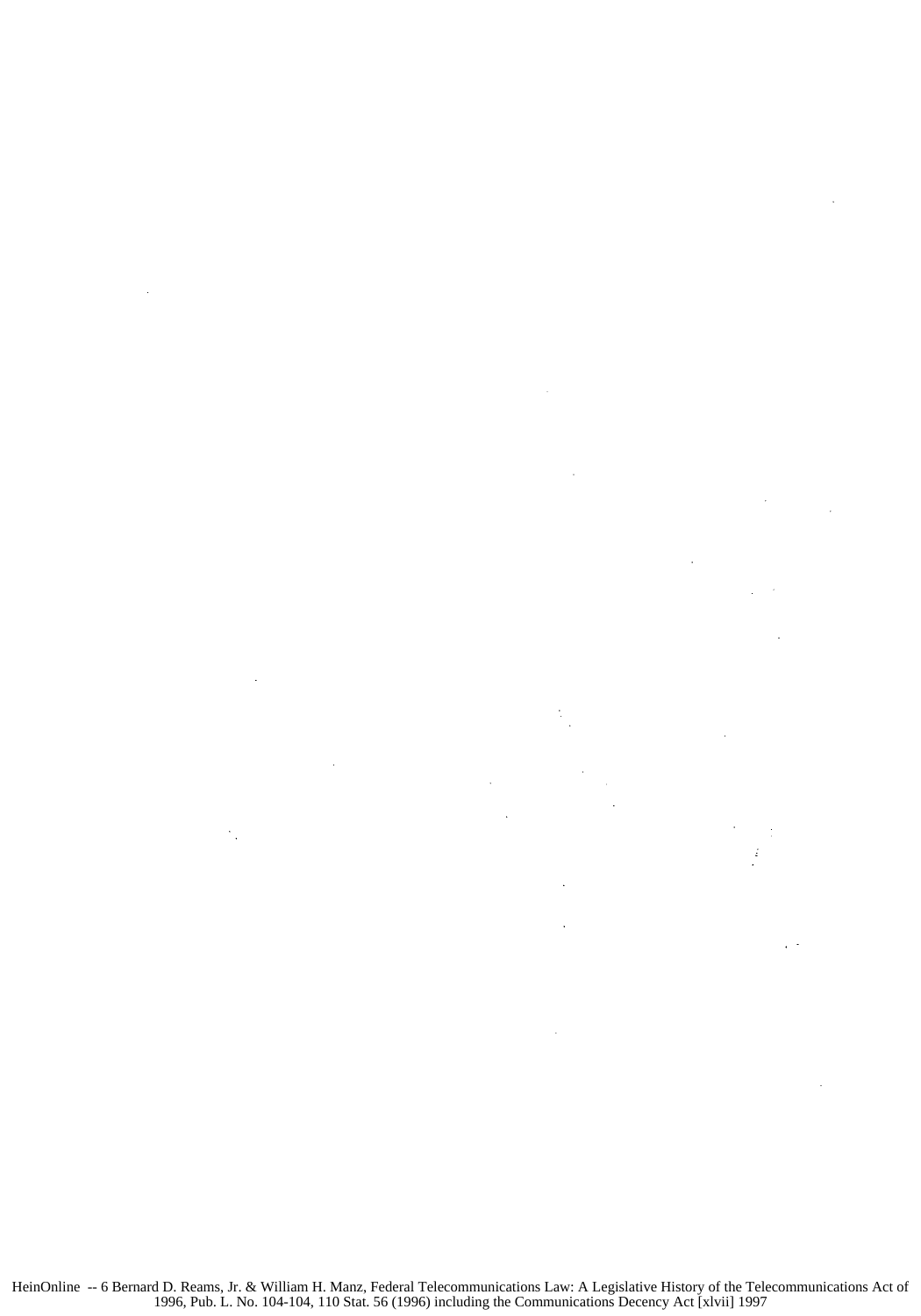$\hat{\mathcal{C}}_1$  $\frac{1}{2}$ 

 $\mathcal{L}$ 

HeinOnline -- 6 Bernard D. Reams, Jr. & William H. Manz, Federal Telecommunications Law: A Legislative History of the Telecommunications Act of 1996, Pub. L. No. 104-104, 110 Stat. 56 (1996) including the Communications Decency Act [xlvii] 1997